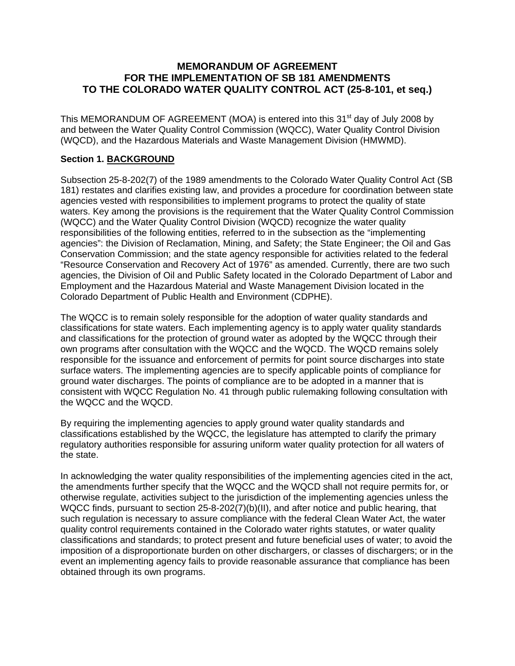# **MEMORANDUM OF AGREEMENT FOR THE IMPLEMENTATION OF SB 181 AMENDMENTS TO THE COLORADO WATER QUALITY CONTROL ACT (25-8-101, et seq.)**

This MEMORANDUM OF AGREEMENT (MOA) is entered into this  $31<sup>st</sup>$  day of July 2008 by and between the Water Quality Control Commission (WQCC), Water Quality Control Division (WQCD), and the Hazardous Materials and Waste Management Division (HMWMD).

# **Section 1. BACKGROUND**

Subsection 25-8-202(7) of the 1989 amendments to the Colorado Water Quality Control Act (SB 181) restates and clarifies existing law, and provides a procedure for coordination between state agencies vested with responsibilities to implement programs to protect the quality of state waters. Key among the provisions is the requirement that the Water Quality Control Commission (WQCC) and the Water Quality Control Division (WQCD) recognize the water quality responsibilities of the following entities, referred to in the subsection as the "implementing agencies": the Division of Reclamation, Mining, and Safety; the State Engineer; the Oil and Gas Conservation Commission; and the state agency responsible for activities related to the federal "Resource Conservation and Recovery Act of 1976" as amended. Currently, there are two such agencies, the Division of Oil and Public Safety located in the Colorado Department of Labor and Employment and the Hazardous Material and Waste Management Division located in the Colorado Department of Public Health and Environment (CDPHE).

The WQCC is to remain solely responsible for the adoption of water quality standards and classifications for state waters. Each implementing agency is to apply water quality standards and classifications for the protection of ground water as adopted by the WQCC through their own programs after consultation with the WQCC and the WQCD. The WQCD remains solely responsible for the issuance and enforcement of permits for point source discharges into state surface waters. The implementing agencies are to specify applicable points of compliance for ground water discharges. The points of compliance are to be adopted in a manner that is consistent with WQCC Regulation No. 41 through public rulemaking following consultation with the WQCC and the WQCD.

By requiring the implementing agencies to apply ground water quality standards and classifications established by the WQCC, the legislature has attempted to clarify the primary regulatory authorities responsible for assuring uniform water quality protection for all waters of the state.

In acknowledging the water quality responsibilities of the implementing agencies cited in the act, the amendments further specify that the WQCC and the WQCD shall not require permits for, or otherwise regulate, activities subject to the jurisdiction of the implementing agencies unless the WQCC finds, pursuant to section 25-8-202(7)(b)(II), and after notice and public hearing, that such regulation is necessary to assure compliance with the federal Clean Water Act, the water quality control requirements contained in the Colorado water rights statutes, or water quality classifications and standards; to protect present and future beneficial uses of water; to avoid the imposition of a disproportionate burden on other dischargers, or classes of dischargers; or in the event an implementing agency fails to provide reasonable assurance that compliance has been obtained through its own programs.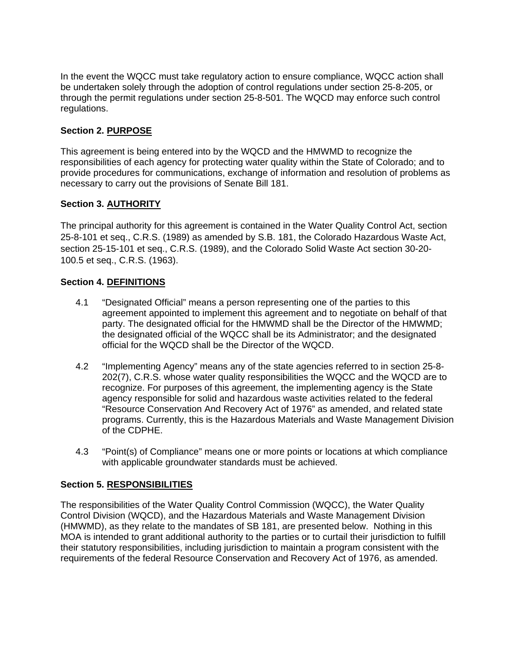In the event the WQCC must take regulatory action to ensure compliance, WQCC action shall be undertaken solely through the adoption of control regulations under section 25-8-205, or through the permit regulations under section 25-8-501. The WQCD may enforce such control regulations.

# **Section 2. PURPOSE**

This agreement is being entered into by the WQCD and the HMWMD to recognize the responsibilities of each agency for protecting water quality within the State of Colorado; and to provide procedures for communications, exchange of information and resolution of problems as necessary to carry out the provisions of Senate Bill 181.

# **Section 3. AUTHORITY**

The principal authority for this agreement is contained in the Water Quality Control Act, section 25-8-101 et seq., C.R.S. (1989) as amended by S.B. 181, the Colorado Hazardous Waste Act, section 25-15-101 et seq., C.R.S. (1989), and the Colorado Solid Waste Act section 30-20- 100.5 et seq., C.R.S. (1963).

## **Section 4. DEFINITIONS**

- 4.1 "Designated Official" means a person representing one of the parties to this agreement appointed to implement this agreement and to negotiate on behalf of that party. The designated official for the HMWMD shall be the Director of the HMWMD; the designated official of the WQCC shall be its Administrator; and the designated official for the WQCD shall be the Director of the WQCD.
- 4.2 "Implementing Agency" means any of the state agencies referred to in section 25-8- 202(7), C.R.S. whose water quality responsibilities the WQCC and the WQCD are to recognize. For purposes of this agreement, the implementing agency is the State agency responsible for solid and hazardous waste activities related to the federal "Resource Conservation And Recovery Act of 1976" as amended, and related state programs. Currently, this is the Hazardous Materials and Waste Management Division of the CDPHE.
- 4.3 "Point(s) of Compliance" means one or more points or locations at which compliance with applicable groundwater standards must be achieved.

## **Section 5. RESPONSIBILITIES**

The responsibilities of the Water Quality Control Commission (WQCC), the Water Quality Control Division (WQCD), and the Hazardous Materials and Waste Management Division (HMWMD), as they relate to the mandates of SB 181, are presented below. Nothing in this MOA is intended to grant additional authority to the parties or to curtail their jurisdiction to fulfill their statutory responsibilities, including jurisdiction to maintain a program consistent with the requirements of the federal Resource Conservation and Recovery Act of 1976, as amended.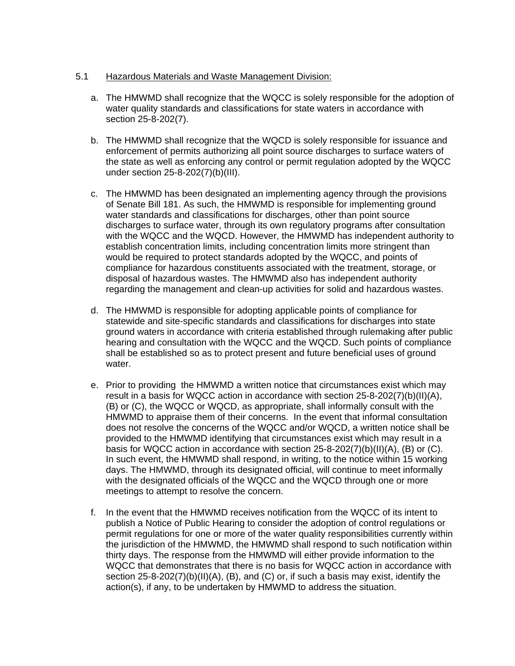## 5.1 Hazardous Materials and Waste Management Division:

- a. The HMWMD shall recognize that the WQCC is solely responsible for the adoption of water quality standards and classifications for state waters in accordance with section 25-8-202(7).
- b. The HMWMD shall recognize that the WQCD is solely responsible for issuance and enforcement of permits authorizing all point source discharges to surface waters of the state as well as enforcing any control or permit regulation adopted by the WQCC under section 25-8-202(7)(b)(III).
- c. The HMWMD has been designated an implementing agency through the provisions of Senate Bill 181. As such, the HMWMD is responsible for implementing ground water standards and classifications for discharges, other than point source discharges to surface water, through its own regulatory programs after consultation with the WQCC and the WQCD. However, the HMWMD has independent authority to establish concentration limits, including concentration limits more stringent than would be required to protect standards adopted by the WQCC, and points of compliance for hazardous constituents associated with the treatment, storage, or disposal of hazardous wastes. The HMWMD also has independent authority regarding the management and clean-up activities for solid and hazardous wastes.
- d. The HMWMD is responsible for adopting applicable points of compliance for statewide and site-specific standards and classifications for discharges into state ground waters in accordance with criteria established through rulemaking after public hearing and consultation with the WQCC and the WQCD. Such points of compliance shall be established so as to protect present and future beneficial uses of ground water.
- e. Prior to providing the HMWMD a written notice that circumstances exist which may result in a basis for WQCC action in accordance with section 25-8-202(7)(b)(II)(A), (B) or (C), the WQCC or WQCD, as appropriate, shall informally consult with the HMWMD to appraise them of their concerns. In the event that informal consultation does not resolve the concerns of the WQCC and/or WQCD, a written notice shall be provided to the HMWMD identifying that circumstances exist which may result in a basis for WQCC action in accordance with section 25-8-202(7)(b)(II)(A), (B) or (C). In such event, the HMWMD shall respond, in writing, to the notice within 15 working days. The HMWMD, through its designated official, will continue to meet informally with the designated officials of the WQCC and the WQCD through one or more meetings to attempt to resolve the concern.
- f. In the event that the HMWMD receives notification from the WQCC of its intent to publish a Notice of Public Hearing to consider the adoption of control regulations or permit regulations for one or more of the water quality responsibilities currently within the jurisdiction of the HMWMD, the HMWMD shall respond to such notification within thirty days. The response from the HMWMD will either provide information to the WQCC that demonstrates that there is no basis for WQCC action in accordance with section 25-8-202(7)(b)(II)(A), (B), and (C) or, if such a basis may exist, identify the action(s), if any, to be undertaken by HMWMD to address the situation.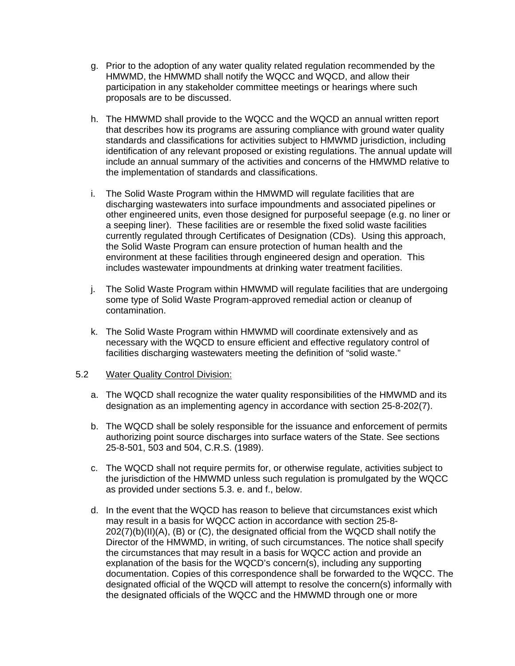- g. Prior to the adoption of any water quality related regulation recommended by the HMWMD, the HMWMD shall notify the WQCC and WQCD, and allow their participation in any stakeholder committee meetings or hearings where such proposals are to be discussed.
- h. The HMWMD shall provide to the WQCC and the WQCD an annual written report that describes how its programs are assuring compliance with ground water quality standards and classifications for activities subject to HMWMD jurisdiction, including identification of any relevant proposed or existing regulations. The annual update will include an annual summary of the activities and concerns of the HMWMD relative to the implementation of standards and classifications.
- i. The Solid Waste Program within the HMWMD will regulate facilities that are discharging wastewaters into surface impoundments and associated pipelines or other engineered units, even those designed for purposeful seepage (e.g. no liner or a seeping liner). These facilities are or resemble the fixed solid waste facilities currently regulated through Certificates of Designation (CDs). Using this approach, the Solid Waste Program can ensure protection of human health and the environment at these facilities through engineered design and operation. This includes wastewater impoundments at drinking water treatment facilities.
- j. The Solid Waste Program within HMWMD will regulate facilities that are undergoing some type of Solid Waste Program-approved remedial action or cleanup of contamination.
- k. The Solid Waste Program within HMWMD will coordinate extensively and as necessary with the WQCD to ensure efficient and effective regulatory control of facilities discharging wastewaters meeting the definition of "solid waste."

## 5.2 Water Quality Control Division:

- a. The WQCD shall recognize the water quality responsibilities of the HMWMD and its designation as an implementing agency in accordance with section 25-8-202(7).
- b. The WQCD shall be solely responsible for the issuance and enforcement of permits authorizing point source discharges into surface waters of the State. See sections 25-8-501, 503 and 504, C.R.S. (1989).
- c. The WQCD shall not require permits for, or otherwise regulate, activities subject to the jurisdiction of the HMWMD unless such regulation is promulgated by the WQCC as provided under sections 5.3. e. and f., below.
- d. In the event that the WQCD has reason to believe that circumstances exist which may result in a basis for WQCC action in accordance with section 25-8- 202(7)(b)(II)(A), (B) or (C), the designated official from the WQCD shall notify the Director of the HMWMD, in writing, of such circumstances. The notice shall specify the circumstances that may result in a basis for WQCC action and provide an explanation of the basis for the WQCD's concern(s), including any supporting documentation. Copies of this correspondence shall be forwarded to the WQCC. The designated official of the WQCD will attempt to resolve the concern(s) informally with the designated officials of the WQCC and the HMWMD through one or more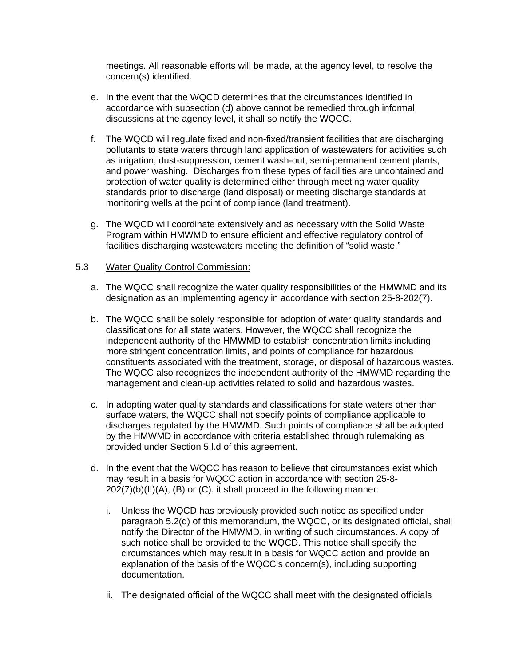meetings. All reasonable efforts will be made, at the agency level, to resolve the concern(s) identified.

- e. In the event that the WQCD determines that the circumstances identified in accordance with subsection (d) above cannot be remedied through informal discussions at the agency level, it shall so notify the WQCC.
- f. The WQCD will regulate fixed and non-fixed/transient facilities that are discharging pollutants to state waters through land application of wastewaters for activities such as irrigation, dust-suppression, cement wash-out, semi-permanent cement plants, and power washing. Discharges from these types of facilities are uncontained and protection of water quality is determined either through meeting water quality standards prior to discharge (land disposal) or meeting discharge standards at monitoring wells at the point of compliance (land treatment).
- g. The WQCD will coordinate extensively and as necessary with the Solid Waste Program within HMWMD to ensure efficient and effective regulatory control of facilities discharging wastewaters meeting the definition of "solid waste."

#### 5.3 Water Quality Control Commission:

- a. The WQCC shall recognize the water quality responsibilities of the HMWMD and its designation as an implementing agency in accordance with section 25-8-202(7).
- b. The WQCC shall be solely responsible for adoption of water quality standards and classifications for all state waters. However, the WQCC shall recognize the independent authority of the HMWMD to establish concentration limits including more stringent concentration limits, and points of compliance for hazardous constituents associated with the treatment, storage, or disposal of hazardous wastes. The WQCC also recognizes the independent authority of the HMWMD regarding the management and clean-up activities related to solid and hazardous wastes.
- c. In adopting water quality standards and classifications for state waters other than surface waters, the WQCC shall not specify points of compliance applicable to discharges regulated by the HMWMD. Such points of compliance shall be adopted by the HMWMD in accordance with criteria established through rulemaking as provided under Section 5.l.d of this agreement.
- d. In the event that the WQCC has reason to believe that circumstances exist which may result in a basis for WQCC action in accordance with section 25-8- 202(7)(b)(II)(A), (B) or (C). it shall proceed in the following manner:
	- i. Unless the WQCD has previously provided such notice as specified under paragraph 5.2(d) of this memorandum, the WQCC, or its designated official, shall notify the Director of the HMWMD, in writing of such circumstances. A copy of such notice shall be provided to the WQCD. This notice shall specify the circumstances which may result in a basis for WQCC action and provide an explanation of the basis of the WQCC's concern(s), including supporting documentation.
	- ii. The designated official of the WQCC shall meet with the designated officials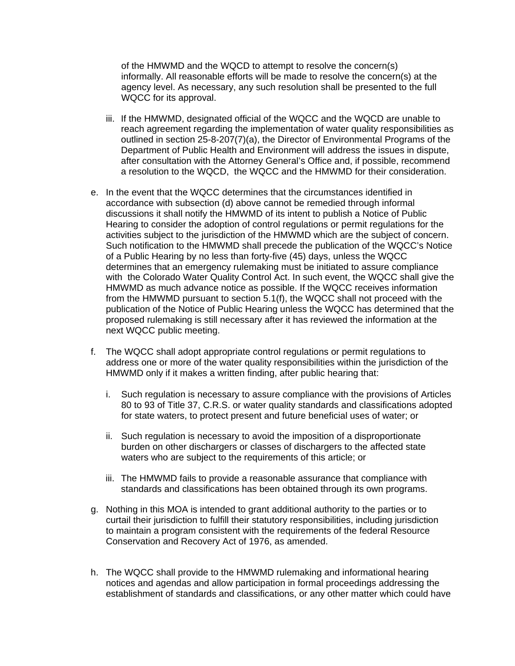of the HMWMD and the WQCD to attempt to resolve the concern(s) informally. All reasonable efforts will be made to resolve the concern(s) at the agency level. As necessary, any such resolution shall be presented to the full WQCC for its approval.

- iii. If the HMWMD, designated official of the WQCC and the WQCD are unable to reach agreement regarding the implementation of water quality responsibilities as outlined in section 25-8-207(7)(a), the Director of Environmental Programs of the Department of Public Health and Environment will address the issues in dispute, after consultation with the Attorney General's Office and, if possible, recommend a resolution to the WQCD, the WQCC and the HMWMD for their consideration.
- e. In the event that the WQCC determines that the circumstances identified in accordance with subsection (d) above cannot be remedied through informal discussions it shall notify the HMWMD of its intent to publish a Notice of Public Hearing to consider the adoption of control regulations or permit regulations for the activities subject to the jurisdiction of the HMWMD which are the subject of concern. Such notification to the HMWMD shall precede the publication of the WQCC's Notice of a Public Hearing by no less than forty-five (45) days, unless the WQCC determines that an emergency rulemaking must be initiated to assure compliance with the Colorado Water Quality Control Act. In such event, the WQCC shall give the HMWMD as much advance notice as possible. If the WQCC receives information from the HMWMD pursuant to section 5.1(f), the WQCC shall not proceed with the publication of the Notice of Public Hearing unless the WQCC has determined that the proposed rulemaking is still necessary after it has reviewed the information at the next WQCC public meeting.
- f. The WQCC shall adopt appropriate control regulations or permit regulations to address one or more of the water quality responsibilities within the jurisdiction of the HMWMD only if it makes a written finding, after public hearing that:
	- i. Such regulation is necessary to assure compliance with the provisions of Articles 80 to 93 of Title 37, C.R.S. or water quality standards and classifications adopted for state waters, to protect present and future beneficial uses of water; or
	- ii. Such regulation is necessary to avoid the imposition of a disproportionate burden on other dischargers or classes of dischargers to the affected state waters who are subject to the requirements of this article; or
	- iii. The HMWMD fails to provide a reasonable assurance that compliance with standards and classifications has been obtained through its own programs.
- g. Nothing in this MOA is intended to grant additional authority to the parties or to curtail their jurisdiction to fulfill their statutory responsibilities, including jurisdiction to maintain a program consistent with the requirements of the federal Resource Conservation and Recovery Act of 1976, as amended.
- h. The WQCC shall provide to the HMWMD rulemaking and informational hearing notices and agendas and allow participation in formal proceedings addressing the establishment of standards and classifications, or any other matter which could have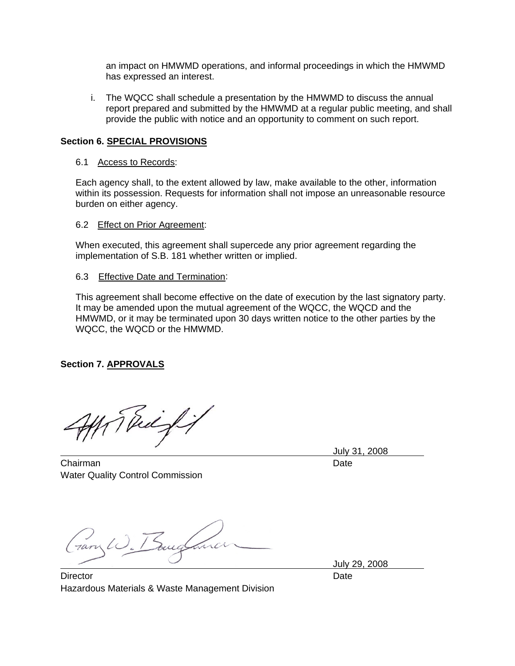an impact on HMWMD operations, and informal proceedings in which the HMWMD has expressed an interest.

i. The WQCC shall schedule a presentation by the HMWMD to discuss the annual report prepared and submitted by the HMWMD at a regular public meeting, and shall provide the public with notice and an opportunity to comment on such report.

## **Section 6. SPECIAL PROVISIONS**

#### 6.1 Access to Records:

Each agency shall, to the extent allowed by law, make available to the other, information within its possession. Requests for information shall not impose an unreasonable resource burden on either agency.

#### 6.2 Effect on Prior Agreement:

When executed, this agreement shall supercede any prior agreement regarding the implementation of S.B. 181 whether written or implied.

#### 6.3 Effective Date and Termination:

This agreement shall become effective on the date of execution by the last signatory party. It may be amended upon the mutual agreement of the WQCC, the WQCD and the HMWMD, or it may be terminated upon 30 days written notice to the other parties by the WQCC, the WQCD or the HMWMD.

## **Section 7. APPROVALS**

Thiefi

Chairman Date **Date** Water Quality Control Commission

July 31, 2008

ary W. Bell

July 29, 2008

Director **Director** Date **Date** Hazardous Materials & Waste Management Division